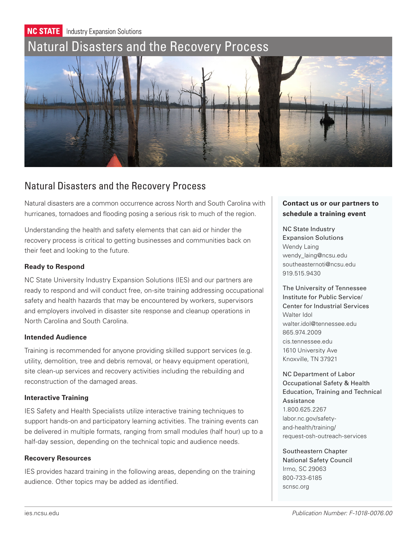

# Natural Disasters and the Recovery Process

Natural disasters are a common occurrence across North and South Carolina with hurricanes, tornadoes and flooding posing a serious risk to much of the region.

Understanding the health and safety elements that can aid or hinder the recovery process is critical to getting businesses and communities back on their feet and looking to the future.

#### **Ready to Respond**

NC State University Industry Expansion Solutions (IES) and our partners are ready to respond and will conduct free, on-site training addressing occupational safety and health hazards that may be encountered by workers, supervisors and employers involved in disaster site response and cleanup operations in North Carolina and South Carolina.

#### **Intended Audience**

Training is recommended for anyone providing skilled support services (e.g. utility, demolition, tree and debris removal, or heavy equipment operation), site clean-up services and recovery activities including the rebuilding and reconstruction of the damaged areas.

### **Interactive Training**

IES Safety and Health Specialists utilize interactive training techniques to support hands-on and participatory learning activities. The training events can be delivered in multiple formats, ranging from small modules (half hour) up to a half-day session, depending on the technical topic and audience needs.

#### **Recovery Resources**

IES provides hazard training in the following areas, depending on the training audience. Other topics may be added as identified.

## **Contact us or our partners to schedule a training event**

NC State Industry Expansion Solutions Wendy Laing wendy\_laing@ncsu.edu southeasternoti@ncsu.edu 919.515.9430

The University of Tennessee Institute for Public Service/ Center for Industrial Services Walter Idol walter.idol@tennessee.edu 865.974.2009 cis.tennessee.edu 1610 University Ave Knoxville, TN 37921

NC Department of Labor Occupational Safety & Health Education, Training and Technical Assistance 1.800.625.2267 labor.nc.gov/safetyand-health/training/ request-osh-outreach-services

Southeastern Chapter National Safety Council Irmo, SC 29063 800-733-6185 scnsc.org